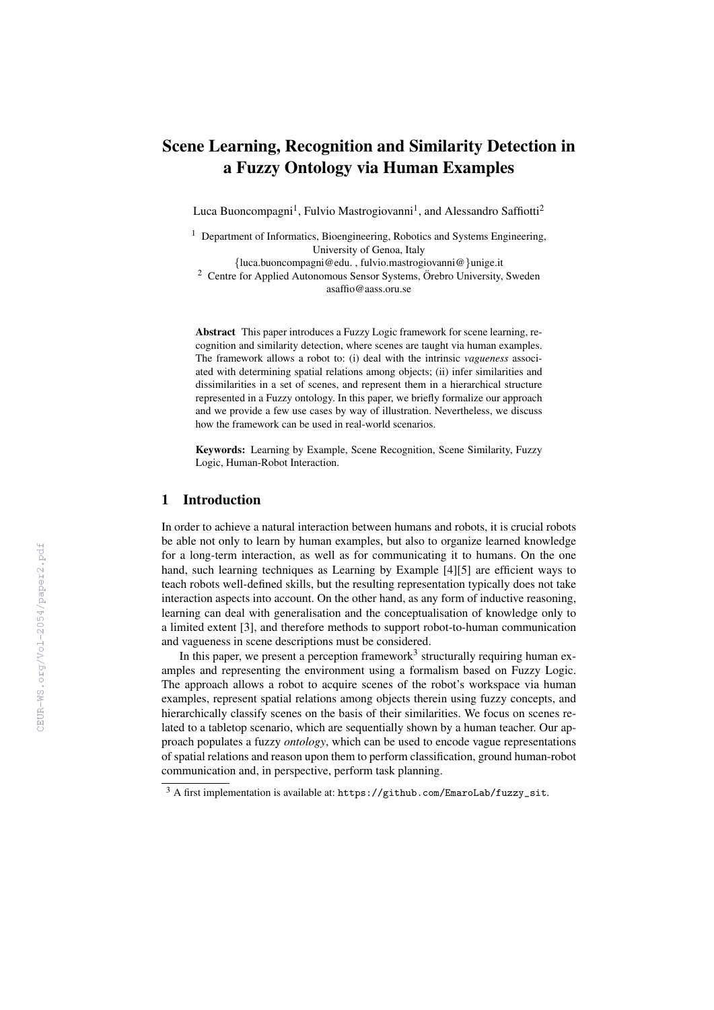# Scene Learning, Recognition and Similarity Detection in a Fuzzy Ontology via Human Examples

Luca Buoncompagni<sup>1</sup>, Fulvio Mastrogiovanni<sup>1</sup>, and Alessandro Saffiotti<sup>2</sup>

 $1$  Department of Informatics, Bioengineering, Robotics and Systems Engineering, University of Genoa, Italy

{[luca.buoncompagni@edu.](mailto:luca.buoncompagni@edu.unige.it) , [fulvio.mastrogiovanni@](mailto:fulvio.mastrogiovanni@unige.it)}unige.it

<sup>2</sup> Centre for Applied Autonomous Sensor Systems, Örebro University, Sweden [asaffio@aass.oru.se](mailto:asaffio@aass.oru.se)

Abstract This paper introduces a Fuzzy Logic framework for scene learning, recognition and similarity detection, where scenes are taught via human examples. The framework allows a robot to: (i) deal with the intrinsic *vagueness* associated with determining spatial relations among objects; (ii) infer similarities and dissimilarities in a set of scenes, and represent them in a hierarchical structure represented in a Fuzzy ontology. In this paper, we briefly formalize our approach and we provide a few use cases by way of illustration. Nevertheless, we discuss how the framework can be used in real-world scenarios.

Keywords: Learning by Example, Scene Recognition, Scene Similarity, Fuzzy Logic, Human-Robot Interaction.

## 1 Introduction

In order to achieve a natural interaction between humans and robots, it is crucial robots be able not only to learn by human examples, but also to organize learned knowledge for a long-term interaction, as well as for communicating it to humans. On the one hand, such learning techniques as Learning by Example [\[4\]](#page--1-0)[\[5\]](#page--1-1) are efficient ways to teach robots well-defined skills, but the resulting representation typically does not take interaction aspects into account. On the other hand, as any form of inductive reasoning, learning can deal with generalisation and the conceptualisation of knowledge only to a limited extent [\[3\]](#page--1-2), and therefore methods to support robot-to-human communication and vagueness in scene descriptions must be considered.

In this paper, we present a perception framework<sup>[3](#page-0-0)</sup> structurally requiring human examples and representing the environment using a formalism based on Fuzzy Logic. The approach allows a robot to acquire scenes of the robot's workspace via human examples, represent spatial relations among objects therein using fuzzy concepts, and hierarchically classify scenes on the basis of their similarities. We focus on scenes related to a tabletop scenario, which are sequentially shown by a human teacher. Our approach populates a fuzzy *ontology*, which can be used to encode vague representations of spatial relations and reason upon them to perform classification, ground human-robot communication and, in perspective, perform task planning.

<span id="page-0-0"></span> $3$  A first implementation is available at: [https://github.com/EmaroLab/fuzzy\\_sit](https://github.com/EmaroLab/fuzzy_sit).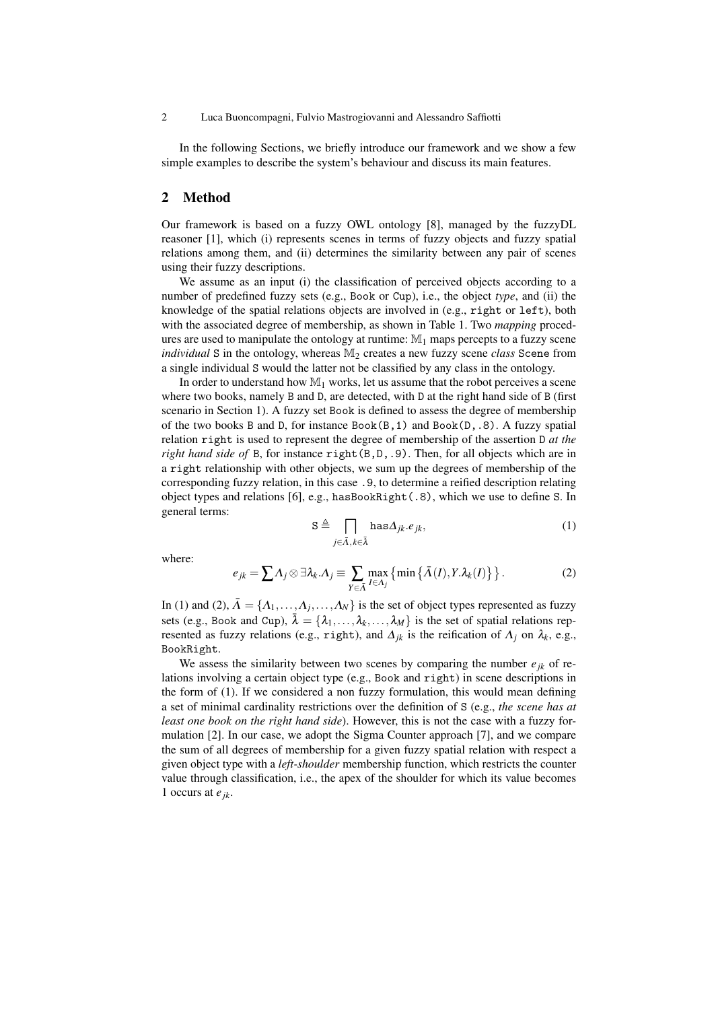#### 2 Luca Buoncompagni, Fulvio Mastrogiovanni and Alessandro Saffiotti

In the following Sections, we briefly introduce our framework and we show a few simple examples to describe the system's behaviour and discuss its main features.

### 2 Method

Our framework is based on a fuzzy OWL ontology [\[8\]](#page-5-0), managed by the fuzzyDL reasoner [\[1\]](#page-5-1), which (i) represents scenes in terms of fuzzy objects and fuzzy spatial relations among them, and (ii) determines the similarity between any pair of scenes using their fuzzy descriptions.

We assume as an input (i) the classification of perceived objects according to a number of predefined fuzzy sets (e.g., Book or Cup), i.e., the object *type*, and (ii) the knowledge of the spatial relations objects are involved in (e.g., right or left), both with the associated degree of membership, as shown in Table [1.](#page-3-0) Two *mapping* procedures are used to manipulate the ontology at runtime:  $\mathbb{M}_1$  maps percepts to a fuzzy scene *individual* S in the ontology, whereas  $M_2$  creates a new fuzzy scene *class* Scene from a single individual S would the latter not be classified by any class in the ontology.

In order to understand how  $\mathbb{M}_1$  works, let us assume that the robot perceives a scene where two books, namely B and D, are detected, with D at the right hand side of B (first scenario in Section [1\)](#page-3-0). A fuzzy set Book is defined to assess the degree of membership of the two books B and D, for instance Book(B,1) and Book(D,.8). A fuzzy spatial relation right is used to represent the degree of membership of the assertion D *at the right hand side of* B, for instance right(B,D,.9). Then, for all objects which are in a right relationship with other objects, we sum up the degrees of membership of the corresponding fuzzy relation, in this case .9, to determine a reified description relating object types and relations [\[6\]](#page-5-2), e.g., hasBookRight $(.8)$ , which we use to define S. In general terms:

$$
S \triangleq \prod_{j \in \bar{\Lambda}, k \in \bar{\lambda}} \text{has} \Delta_{jk}.e_{jk},\tag{1}
$$

<span id="page-1-1"></span>where:

<span id="page-1-0"></span>
$$
e_{jk} = \sum A_j \otimes \exists \lambda_k . A_j \equiv \sum_{Y \in \tilde{\Lambda}} \max_{I \in A_j} \{ \min \{ \bar{\Lambda}(I), Y . \lambda_k(I) \} \}.
$$
 (2)

In [\(1\)](#page-1-0) and [\(2\)](#page-1-1),  $\bar{A} = \{A_1, \ldots, A_j, \ldots, A_N\}$  is the set of object types represented as fuzzy sets (e.g., Book and Cup),  $\bar{\lambda} = {\lambda_1, ..., \lambda_k, ..., \lambda_M}$  is the set of spatial relations represented as fuzzy relations (e.g., right), and  $\Delta_{jk}$  is the reification of  $\Lambda_j$  on  $\lambda_k$ , e.g., BookRight.

We assess the similarity between two scenes by comparing the number  $e_{ik}$  of relations involving a certain object type (e.g., Book and right) in scene descriptions in the form of [\(1\)](#page-1-0). If we considered a non fuzzy formulation, this would mean defining a set of minimal cardinality restrictions over the definition of S (e.g., *the scene has at least one book on the right hand side*). However, this is not the case with a fuzzy formulation [\[2\]](#page-5-3). In our case, we adopt the Sigma Counter approach [\[7\]](#page-5-4), and we compare the sum of all degrees of membership for a given fuzzy spatial relation with respect a given object type with a *left-shoulder* membership function, which restricts the counter value through classification, i.e., the apex of the shoulder for which its value becomes 1 occurs at *ejk*.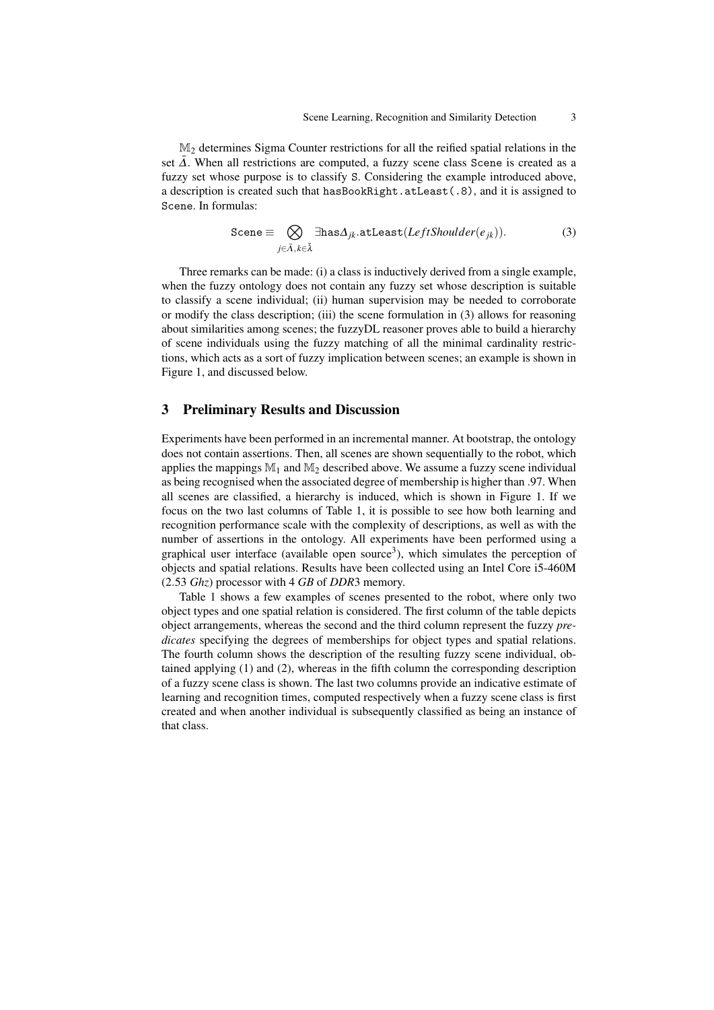M<sup>2</sup> determines Sigma Counter restrictions for all the reified spatial relations in the set  $\overline{\Delta}$ . When all restrictions are computed, a fuzzy scene class Scene is created as a fuzzy set whose purpose is to classify S. Considering the example introduced above, a description is created such that hasBookRight.atLeast(.8), and it is assigned to Scene. In formulas:

<span id="page-2-0"></span>
$$
\text{Scene} \equiv \bigotimes_{j \in \bar{\Lambda}, k \in \bar{\lambda}} \exists \text{has} \Delta_{jk}.\text{atLeast}(LeftShoulder(e_{jk})).\tag{3}
$$

Three remarks can be made: (i) a class is inductively derived from a single example, when the fuzzy ontology does not contain any fuzzy set whose description is suitable to classify a scene individual; (ii) human supervision may be needed to corroborate or modify the class description; (iii) the scene formulation in [\(3\)](#page-2-0) allows for reasoning about similarities among scenes; the fuzzyDL reasoner proves able to build a hierarchy of scene individuals using the fuzzy matching of all the minimal cardinality restrictions, which acts as a sort of fuzzy implication between scenes; an example is shown in [Figure 1,](#page-4-0) and discussed below.

#### 3 Preliminary Results and Discussion

Experiments have been performed in an incremental manner. At bootstrap, the ontology does not contain assertions. Then, all scenes are shown sequentially to the robot, which applies the mappings  $\mathbb{M}_1$  and  $\mathbb{M}_2$  described above. We assume a fuzzy scene individual as being recognised when the associated degree of membership is higher than .97. When all scenes are classified, a hierarchy is induced, which is shown in [Figure 1.](#page-4-0) If we focus on the two last columns of Table [1,](#page-3-0) it is possible to see how both learning and recognition performance scale with the complexity of descriptions, as well as with the number of assertions in the ontology. All experiments have been performed using a graphical user interface (available open source<sup>[3](#page--1-3)</sup>), which simulates the perception of objects and spatial relations. Results have been collected using an Intel Core i5-460M (2.53 *Ghz*) processor with 4 *GB* of *DDR*3 memory.

Table [1](#page-3-0) shows a few examples of scenes presented to the robot, where only two object types and one spatial relation is considered. The first column of the table depicts object arrangements, whereas the second and the third column represent the fuzzy *predicates* specifying the degrees of memberships for object types and spatial relations. The fourth column shows the description of the resulting fuzzy scene individual, obtained applying [\(1\)](#page-1-0) and [\(2\)](#page-1-1), whereas in the fifth column the corresponding description of a fuzzy scene class is shown. The last two columns provide an indicative estimate of learning and recognition times, computed respectively when a fuzzy scene class is first created and when another individual is subsequently classified as being an instance of that class.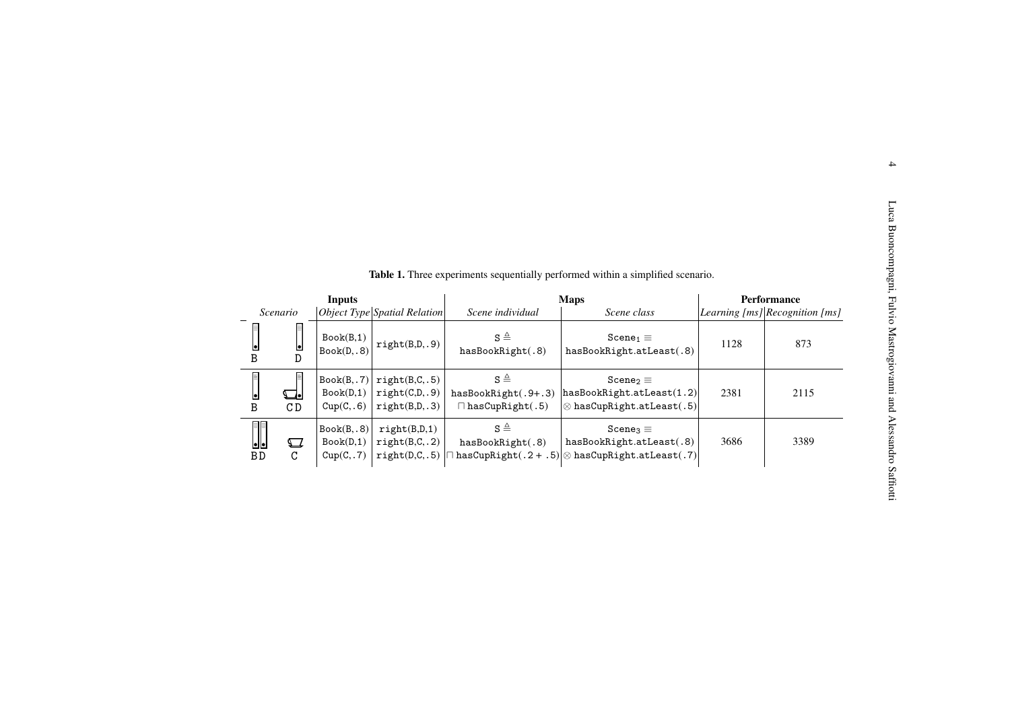<span id="page-3-0"></span>

|                         |                                  |                                        |                                                   |                                                                          | <b>Table 1.</b> Three experiments sequentially performed within a simplified scenario.                                                         |                    |                                    |
|-------------------------|----------------------------------|----------------------------------------|---------------------------------------------------|--------------------------------------------------------------------------|------------------------------------------------------------------------------------------------------------------------------------------------|--------------------|------------------------------------|
| <b>Inputs</b>           |                                  |                                        |                                                   | <b>Maps</b>                                                              |                                                                                                                                                | <b>Performance</b> |                                    |
|                         | Scenario                         |                                        | Object Type Spatial Relation                      | Scene individual                                                         | Scene class                                                                                                                                    |                    | Learning $[ms]$ Recognition $[ms]$ |
| В                       | 目<br>e<br>D                      | Book(B,1)<br>Book(D, .8)               | right(B,D, .9)                                    | $S \triangleq$<br>hasBookRight(.8)                                       | Scene <sub>1</sub> $\equiv$<br>hasBookRight.atLeast(.8)                                                                                        | 1128               | 873                                |
| 目<br>B                  | CD                               | Book(B, .7)<br>Book(D,1)<br>Cup(C, .6) | right(B,C, .5)<br>right(C,D, .9)<br>right(B,D,.3) | $\mathtt{S} \triangleq$<br>hasBookRight(.9+.3)<br>$\Box$ hasCupRight(.5) | $Scene_2 \equiv$<br>hasBookRight.atLeast(1.2)<br>$\otimes$ hasCupRight.atLeast(.5)                                                             | 2381               | 2115                               |
| II<br>${\bf B}$ $\bf D$ | $\boldsymbol{\nabla}$<br>$\rm C$ | Book(B, .8)<br>Book(D,1)<br>Cup(C, .7) | right(B,D,1)<br>right(B,C, .2)<br>right(D,C, .5)  | $\mathtt{S} \triangleq$<br>hasBookRight(.8)                              | $Scene3 \equiv$<br>hasBookRight.atLeast(.8)<br>$\left \cap\text{hasCupRight}(.2+.5)\right \otimes\text{hasCupRight}.\text{atLeast}(.7)\right $ | 3686               | 3389                               |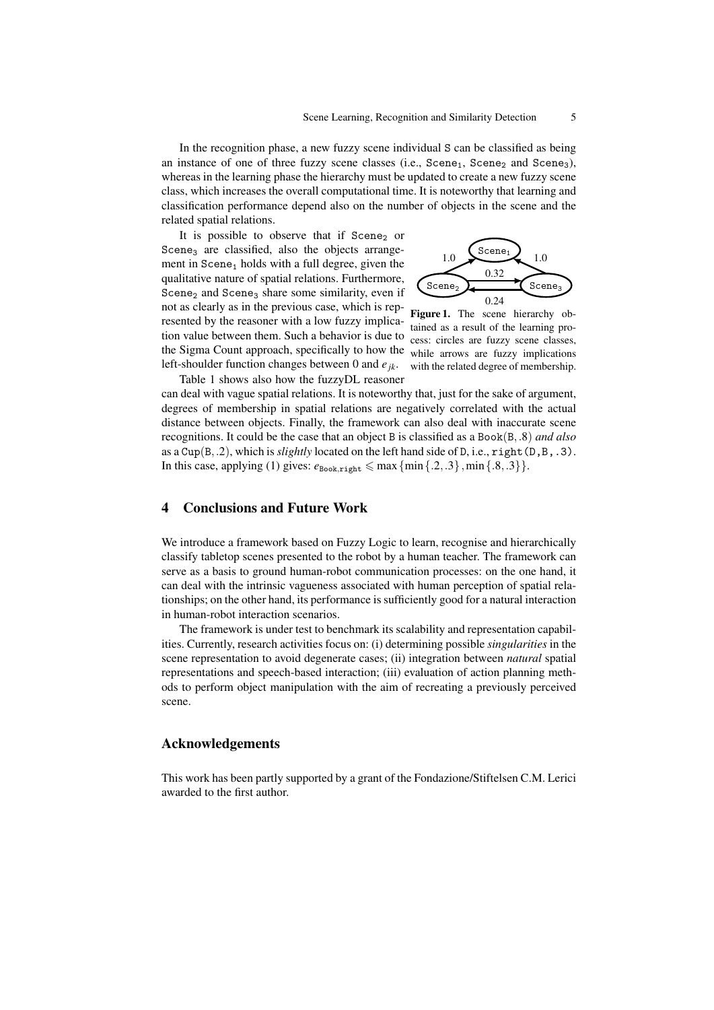In the recognition phase, a new fuzzy scene individual S can be classified as being an instance of one of three fuzzy scene classes (i.e., Scene<sub>1</sub>, Scene<sub>2</sub> and Scene<sub>3</sub>), whereas in the learning phase the hierarchy must be updated to create a new fuzzy scene class, which increases the overall computational time. It is noteworthy that learning and classification performance depend also on the number of objects in the scene and the related spatial relations.

It is possible to observe that if  $Scene<sub>2</sub>$  or Scene<sub>3</sub> are classified, also the objects arrangement in  $Scene<sub>1</sub>$  holds with a full degree, given the qualitative nature of spatial relations. Furthermore, Scene<sub>2</sub> and Scene<sub>3</sub> share some similarity, even if not as clearly as in the previous case, which is represented by the reasoner with a low fuzzy implication value between them. Such a behavior is due to the Sigma Count approach, specifically to how the left-shoulder function changes between 0 and *ejk*. Table [1](#page-3-0) shows also how the fuzzyDL reasoner



<span id="page-4-0"></span>Figure 1. The scene hierarchy obtained as a result of the learning process: circles are fuzzy scene classes, while arrows are fuzzy implications with the related degree of membership.

can deal with vague spatial relations. It is noteworthy that, just for the sake of argument, degrees of membership in spatial relations are negatively correlated with the actual distance between objects. Finally, the framework can also deal with inaccurate scene recognitions. It could be the case that an object B is classified as a Book(B,.8) *and also* as a Cup(B,.2), which is *slightly* located on the left hand side of D, i.e., right(D,B,.3). In this case, applying [\(1\)](#page-1-0) gives:  $e_{\text{Book.right}} \leq \max{\{min\{.2, .3\}, min\{.8, .3\}\}}$ .

# 4 Conclusions and Future Work

We introduce a framework based on Fuzzy Logic to learn, recognise and hierarchically classify tabletop scenes presented to the robot by a human teacher. The framework can serve as a basis to ground human-robot communication processes: on the one hand, it can deal with the intrinsic vagueness associated with human perception of spatial relationships; on the other hand, its performance is sufficiently good for a natural interaction in human-robot interaction scenarios.

The framework is under test to benchmark its scalability and representation capabilities. Currently, research activities focus on: (i) determining possible *singularities* in the scene representation to avoid degenerate cases; (ii) integration between *natural* spatial representations and speech-based interaction; (iii) evaluation of action planning methods to perform object manipulation with the aim of recreating a previously perceived scene.

#### Acknowledgements

This work has been partly supported by a grant of the Fondazione/Stiftelsen C.M. Lerici awarded to the first author.